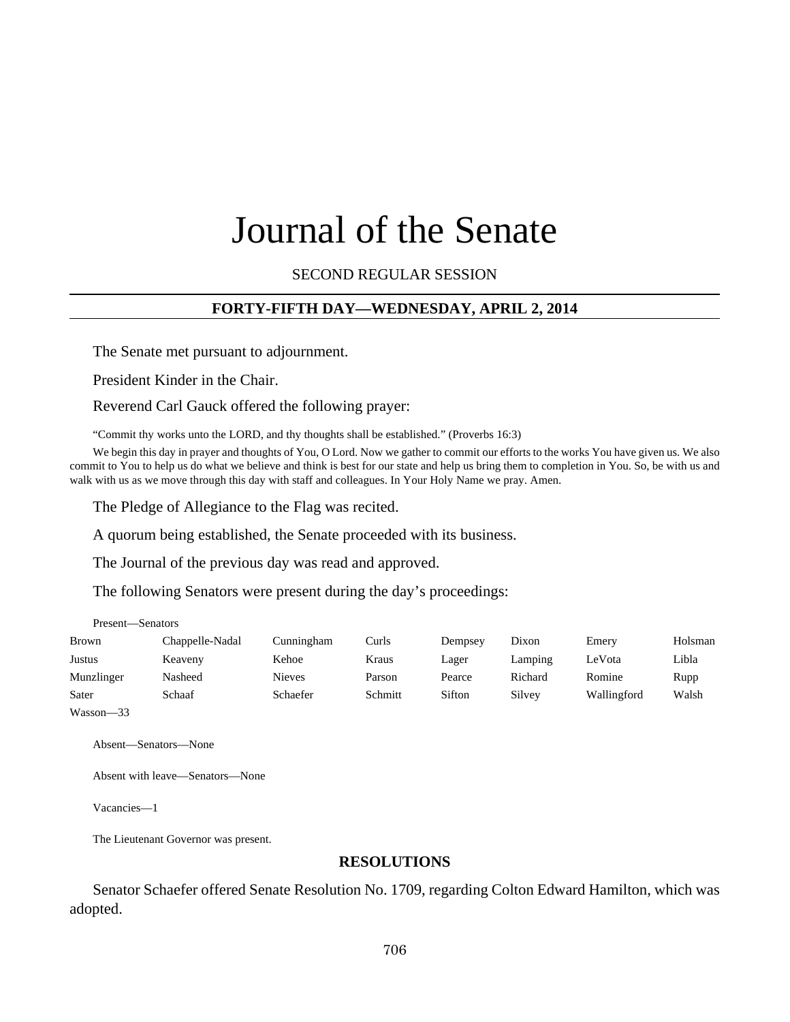# Journal of the Senate

SECOND REGULAR SESSION

## **FORTY-FIFTH DAY—WEDNESDAY, APRIL 2, 2014**

The Senate met pursuant to adjournment.

President Kinder in the Chair.

Reverend Carl Gauck offered the following prayer:

"Commit thy works unto the LORD, and thy thoughts shall be established." (Proverbs 16:3)

We begin this day in prayer and thoughts of You, O Lord. Now we gather to commit our efforts to the works You have given us. We also commit to You to help us do what we believe and think is best for our state and help us bring them to completion in You. So, be with us and walk with us as we move through this day with staff and colleagues. In Your Holy Name we pray. Amen.

The Pledge of Allegiance to the Flag was recited.

A quorum being established, the Senate proceeded with its business.

The Journal of the previous day was read and approved.

The following Senators were present during the day's proceedings:

| Present—Senators |                 |               |         |         |         |             |         |
|------------------|-----------------|---------------|---------|---------|---------|-------------|---------|
| <b>Brown</b>     | Chappelle-Nadal | Cunningham    | Curls   | Dempsey | Dixon   | Emery       | Holsman |
| <b>Justus</b>    | Keaveny         | Kehoe         | Kraus   | Lager   | Lamping | LeVota      | Libla   |
| Munzlinger       | Nasheed         | <b>Nieves</b> | Parson  | Pearce  | Richard | Romine      | Rupp    |
| Sater            | Schaaf          | Schaefer      | Schmitt | Sifton  | Silvey  | Wallingford | Walsh   |
| $Wasson - 33$    |                 |               |         |         |         |             |         |

Absent—Senators—None

Absent with leave—Senators—None

Vacancies—1

The Lieutenant Governor was present.

#### **RESOLUTIONS**

Senator Schaefer offered Senate Resolution No. 1709, regarding Colton Edward Hamilton, which was adopted.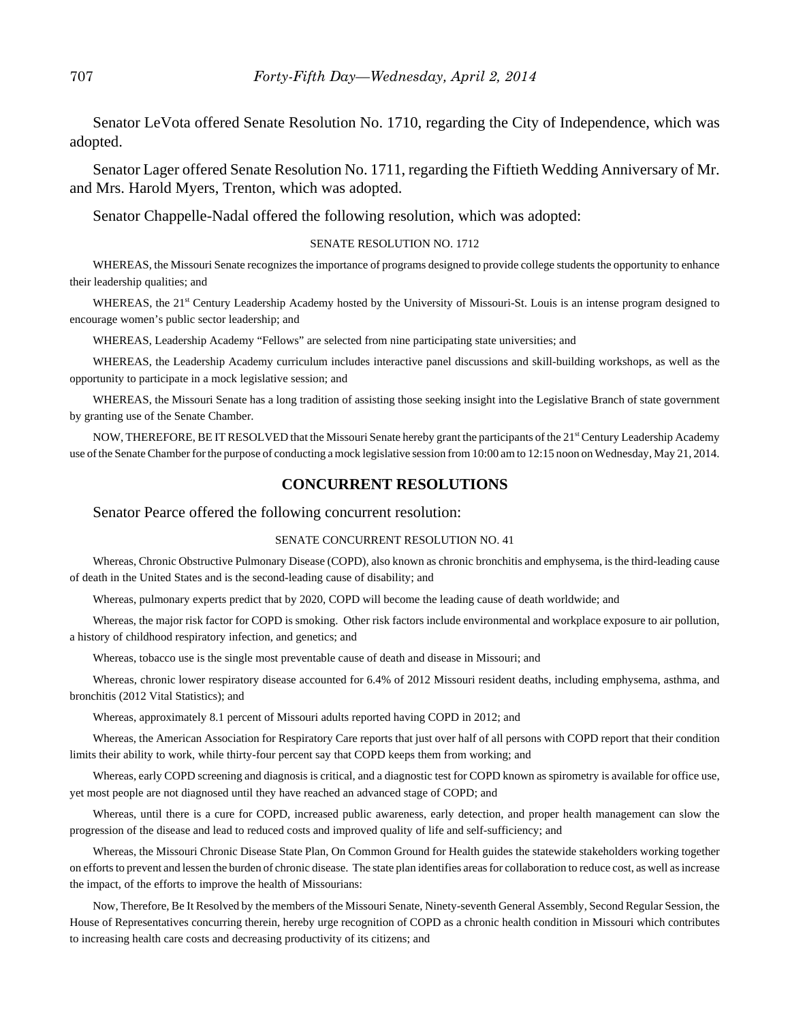Senator LeVota offered Senate Resolution No. 1710, regarding the City of Independence, which was adopted.

Senator Lager offered Senate Resolution No. 1711, regarding the Fiftieth Wedding Anniversary of Mr. and Mrs. Harold Myers, Trenton, which was adopted.

Senator Chappelle-Nadal offered the following resolution, which was adopted:

#### SENATE RESOLUTION NO. 1712

WHEREAS, the Missouri Senate recognizes the importance of programs designed to provide college students the opportunity to enhance their leadership qualities; and

WHEREAS, the 21<sup>st</sup> Century Leadership Academy hosted by the University of Missouri-St. Louis is an intense program designed to encourage women's public sector leadership; and

WHEREAS, Leadership Academy "Fellows" are selected from nine participating state universities; and

WHEREAS, the Leadership Academy curriculum includes interactive panel discussions and skill-building workshops, as well as the opportunity to participate in a mock legislative session; and

WHEREAS, the Missouri Senate has a long tradition of assisting those seeking insight into the Legislative Branch of state government by granting use of the Senate Chamber.

NOW, THEREFORE, BE IT RESOLVED that the Missouri Senate hereby grant the participants of the 21<sup>st</sup> Century Leadership Academy use of the Senate Chamber for the purpose of conducting a mock legislative session from 10:00 am to 12:15 noon on Wednesday, May 21, 2014.

#### **CONCURRENT RESOLUTIONS**

#### Senator Pearce offered the following concurrent resolution:

#### SENATE CONCURRENT RESOLUTION NO. 41

Whereas, Chronic Obstructive Pulmonary Disease (COPD), also known as chronic bronchitis and emphysema, is the third-leading cause of death in the United States and is the second-leading cause of disability; and

Whereas, pulmonary experts predict that by 2020, COPD will become the leading cause of death worldwide; and

Whereas, the major risk factor for COPD is smoking. Other risk factors include environmental and workplace exposure to air pollution, a history of childhood respiratory infection, and genetics; and

Whereas, tobacco use is the single most preventable cause of death and disease in Missouri; and

Whereas, chronic lower respiratory disease accounted for 6.4% of 2012 Missouri resident deaths, including emphysema, asthma, and bronchitis (2012 Vital Statistics); and

Whereas, approximately 8.1 percent of Missouri adults reported having COPD in 2012; and

Whereas, the American Association for Respiratory Care reports that just over half of all persons with COPD report that their condition limits their ability to work, while thirty-four percent say that COPD keeps them from working; and

Whereas, early COPD screening and diagnosis is critical, and a diagnostic test for COPD known as spirometry is available for office use, yet most people are not diagnosed until they have reached an advanced stage of COPD; and

Whereas, until there is a cure for COPD, increased public awareness, early detection, and proper health management can slow the progression of the disease and lead to reduced costs and improved quality of life and self-sufficiency; and

Whereas, the Missouri Chronic Disease State Plan, On Common Ground for Health guides the statewide stakeholders working together on efforts to prevent and lessen the burden of chronic disease. The state plan identifies areas for collaboration to reduce cost, as well as increase the impact, of the efforts to improve the health of Missourians:

Now, Therefore, Be It Resolved by the members of the Missouri Senate, Ninety-seventh General Assembly, Second Regular Session, the House of Representatives concurring therein, hereby urge recognition of COPD as a chronic health condition in Missouri which contributes to increasing health care costs and decreasing productivity of its citizens; and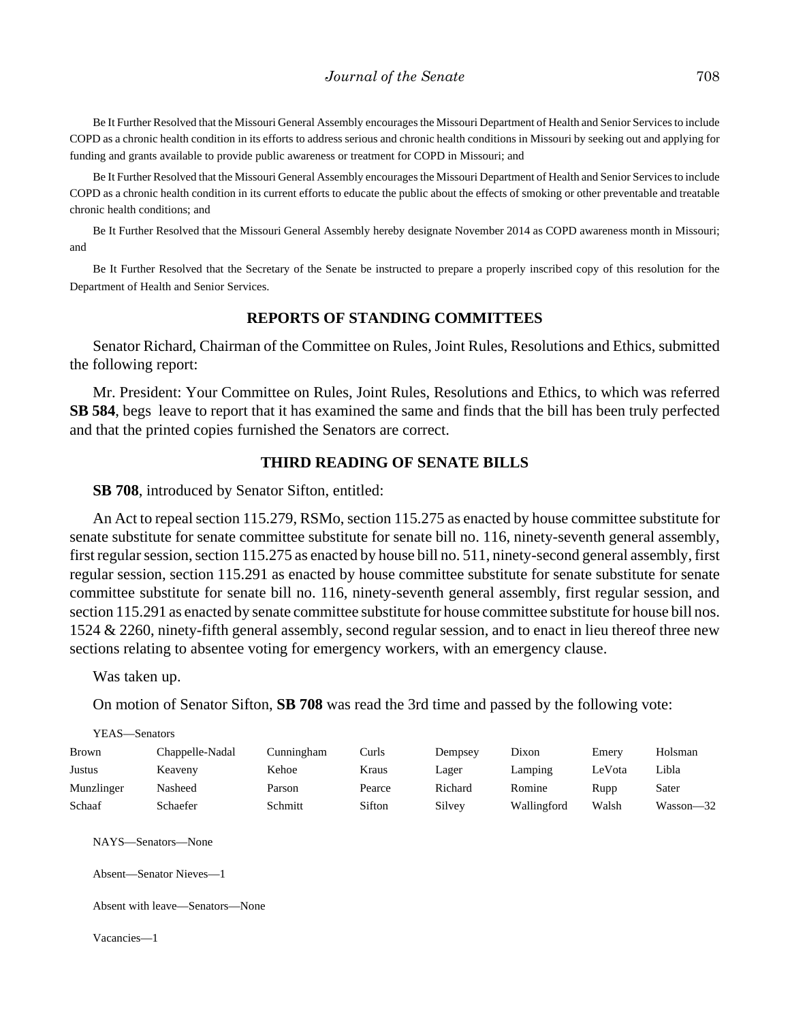Be It Further Resolved that the Missouri General Assembly encourages the Missouri Department of Health and Senior Services to include COPD as a chronic health condition in its efforts to address serious and chronic health conditions in Missouri by seeking out and applying for funding and grants available to provide public awareness or treatment for COPD in Missouri; and

Be It Further Resolved that the Missouri General Assembly encourages the Missouri Department of Health and Senior Services to include COPD as a chronic health condition in its current efforts to educate the public about the effects of smoking or other preventable and treatable chronic health conditions; and

Be It Further Resolved that the Missouri General Assembly hereby designate November 2014 as COPD awareness month in Missouri; and

Be It Further Resolved that the Secretary of the Senate be instructed to prepare a properly inscribed copy of this resolution for the Department of Health and Senior Services.

#### **REPORTS OF STANDING COMMITTEES**

Senator Richard, Chairman of the Committee on Rules, Joint Rules, Resolutions and Ethics, submitted the following report:

Mr. President: Your Committee on Rules, Joint Rules, Resolutions and Ethics, to which was referred **SB 584**, begs leave to report that it has examined the same and finds that the bill has been truly perfected and that the printed copies furnished the Senators are correct.

#### **THIRD READING OF SENATE BILLS**

**SB 708**, introduced by Senator Sifton, entitled:

An Act to repeal section 115.279, RSMo, section 115.275 as enacted by house committee substitute for senate substitute for senate committee substitute for senate bill no. 116, ninety-seventh general assembly, first regular session, section 115.275 as enacted by house bill no. 511, ninety-second general assembly, first regular session, section 115.291 as enacted by house committee substitute for senate substitute for senate committee substitute for senate bill no. 116, ninety-seventh general assembly, first regular session, and section 115.291 as enacted by senate committee substitute for house committee substitute for house bill nos. 1524 & 2260, ninety-fifth general assembly, second regular session, and to enact in lieu thereof three new sections relating to absentee voting for emergency workers, with an emergency clause.

Was taken up.

On motion of Senator Sifton, **SB 708** was read the 3rd time and passed by the following vote:

| Holsman   |
|-----------|
| Libla     |
| Sater     |
| Wasson-32 |
|           |

NAYS—Senators—None

Absent—Senator Nieves—1

Absent with leave—Senators—None

Vacancies—1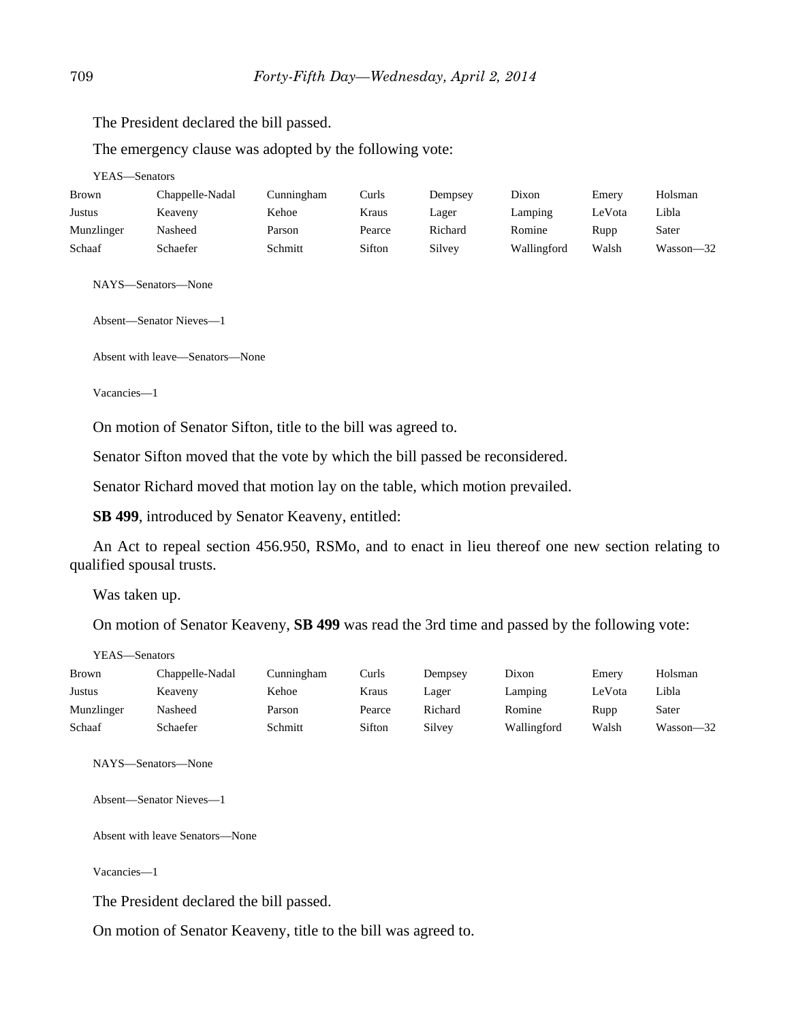The President declared the bill passed.

The emergency clause was adopted by the following vote:

YEAS—Senators

| <b>Brown</b> | Chappelle-Nadal | Cunningham | Curls  | Dempsey | Dixon       | Emery  | Holsman   |
|--------------|-----------------|------------|--------|---------|-------------|--------|-----------|
| Justus       | Keaveny         | Kehoe      | Kraus  | Lager   | Lamping     | LeVota | Libla     |
| Munzlinger   | Nasheed         | Parson     | Pearce | Richard | Romine      | Rupp   | Sater     |
| Schaaf       | Schaefer        | Schmitt    | Sifton | Silvey  | Wallingford | Walsh  | Wasson-32 |

NAYS—Senators—None

Absent—Senator Nieves—1

Absent with leave—Senators—None

Vacancies—1

On motion of Senator Sifton, title to the bill was agreed to.

Senator Sifton moved that the vote by which the bill passed be reconsidered.

Senator Richard moved that motion lay on the table, which motion prevailed.

**SB 499**, introduced by Senator Keaveny, entitled:

An Act to repeal section 456.950, RSMo, and to enact in lieu thereof one new section relating to qualified spousal trusts.

Was taken up.

On motion of Senator Keaveny, **SB 499** was read the 3rd time and passed by the following vote:

YEAS—Senators

| <b>Brown</b> | Chappelle-Nadal | Cunningham | Curls  | Dempsey | Dixon       | Emerv  | Holsman   |
|--------------|-----------------|------------|--------|---------|-------------|--------|-----------|
| Justus       | Keaveny         | Kehoe      | Kraus  | Lager   | Lamping     | LeVota | Libla     |
| Munzlinger   | Nasheed         | Parson     | Pearce | Richard | Romine      | Rupp   | Sater     |
| Schaaf       | Schaefer        | Schmitt    | Sifton | Silvey  | Wallingford | Walsh  | Wasson-32 |

NAYS—Senators—None

Absent—Senator Nieves—1

Absent with leave Senators—None

Vacancies—1

The President declared the bill passed.

On motion of Senator Keaveny, title to the bill was agreed to.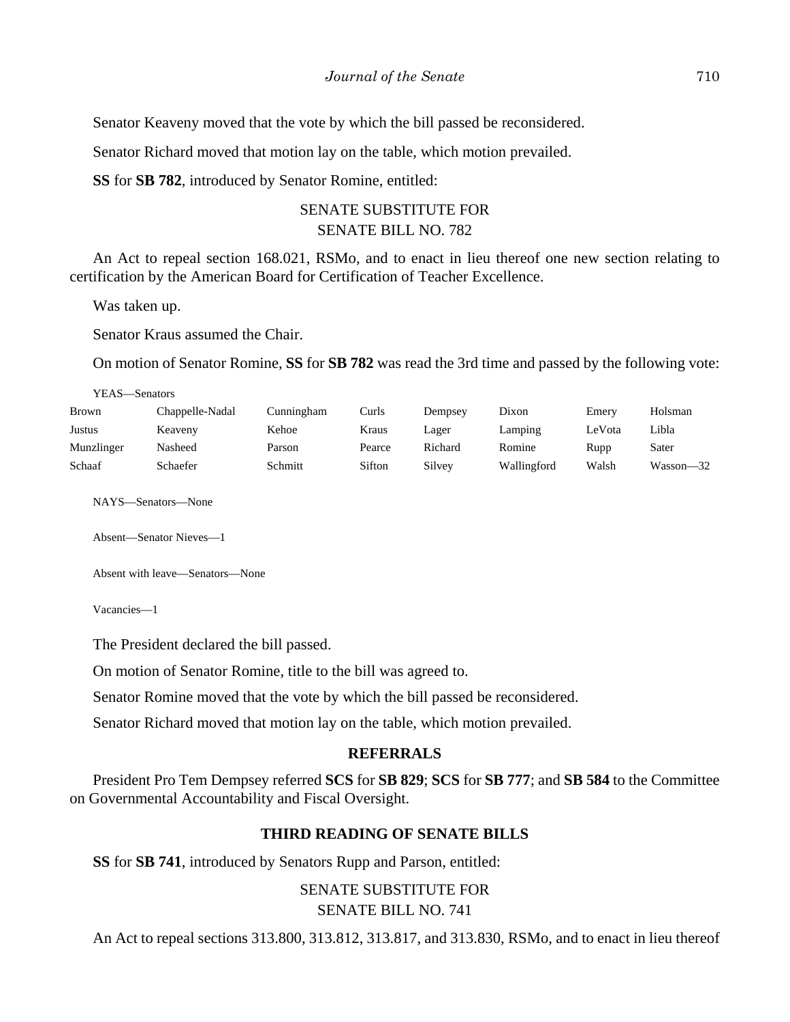Senator Keaveny moved that the vote by which the bill passed be reconsidered.

Senator Richard moved that motion lay on the table, which motion prevailed.

**SS** for **SB 782**, introduced by Senator Romine, entitled:

# SENATE SUBSTITUTE FOR SENATE BILL NO. 782

An Act to repeal section 168.021, RSMo, and to enact in lieu thereof one new section relating to certification by the American Board for Certification of Teacher Excellence.

Was taken up.

Senator Kraus assumed the Chair.

On motion of Senator Romine, **SS** for **SB 782** was read the 3rd time and passed by the following vote:

| YEAS—Senators |                 |            |        |         |             |        |           |
|---------------|-----------------|------------|--------|---------|-------------|--------|-----------|
| Brown         | Chappelle-Nadal | Cunningham | Curls  | Dempsey | Dixon       | Emery  | Holsman   |
| Justus        | Keaveny         | Kehoe      | Kraus  | Lager   | Lamping     | LeVota | Libla     |
| Munzlinger    | Nasheed         | Parson     | Pearce | Richard | Romine      | Rupp   | Sater     |
| Schaaf        | Schaefer        | Schmitt    | Sifton | Silvey  | Wallingford | Walsh  | Wasson—32 |

NAYS—Senators—None

Absent—Senator Nieves—1

Absent with leave—Senators—None

Vacancies—1

The President declared the bill passed.

On motion of Senator Romine, title to the bill was agreed to.

Senator Romine moved that the vote by which the bill passed be reconsidered.

Senator Richard moved that motion lay on the table, which motion prevailed.

### **REFERRALS**

President Pro Tem Dempsey referred **SCS** for **SB 829**; **SCS** for **SB 777**; and **SB 584** to the Committee on Governmental Accountability and Fiscal Oversight.

## **THIRD READING OF SENATE BILLS**

**SS** for **SB 741**, introduced by Senators Rupp and Parson, entitled:

SENATE SUBSTITUTE FOR SENATE BILL NO. 741

An Act to repeal sections 313.800, 313.812, 313.817, and 313.830, RSMo, and to enact in lieu thereof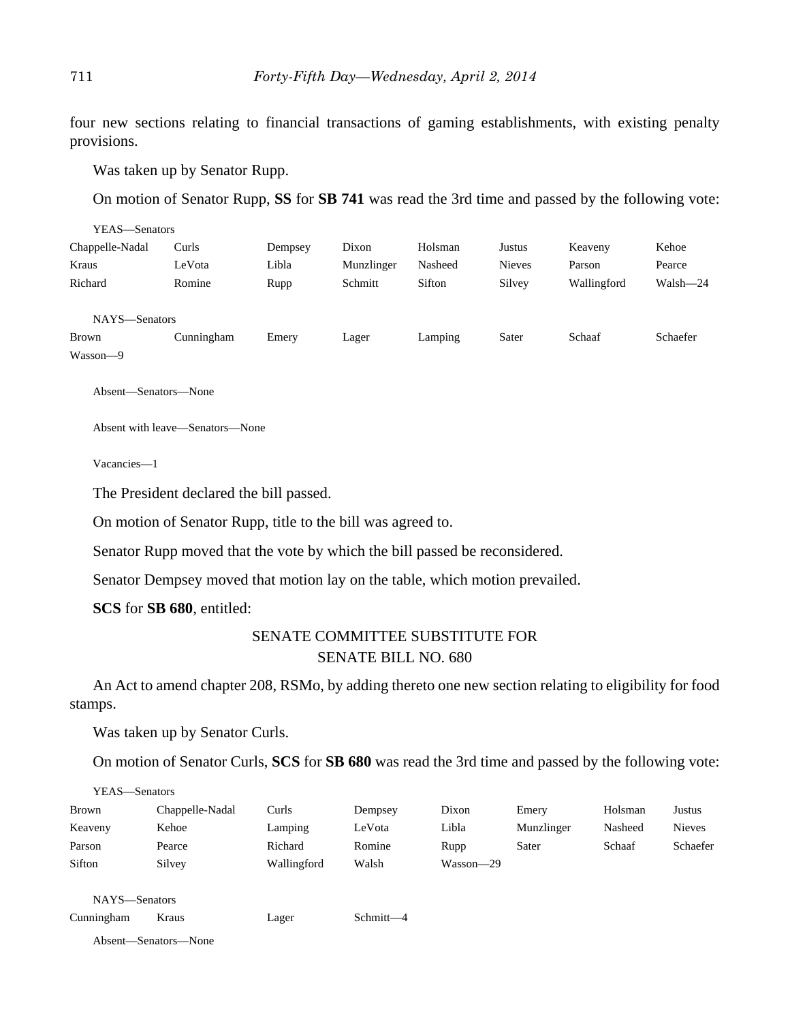four new sections relating to financial transactions of gaming establishments, with existing penalty provisions.

Was taken up by Senator Rupp.

On motion of Senator Rupp, **SS** for **SB 741** was read the 3rd time and passed by the following vote:

| YEAS-Senators   |            |         |            |         |               |             |          |
|-----------------|------------|---------|------------|---------|---------------|-------------|----------|
| Chappelle-Nadal | Curls      | Dempsey | Dixon      | Holsman | Justus        | Keaveny     | Kehoe    |
| Kraus           | LeVota     | Libla   | Munzlinger | Nasheed | <b>Nieves</b> | Parson      | Pearce   |
| Richard         | Romine     | Rupp    | Schmitt    | Sifton  | Silvey        | Wallingford | Walsh-24 |
|                 |            |         |            |         |               |             |          |
| NAYS-Senators   |            |         |            |         |               |             |          |
| <b>Brown</b>    | Cunningham | Emery   | Lager      | Lamping | Sater         | Schaaf      | Schaefer |
| Wasson-9        |            |         |            |         |               |             |          |

Absent—Senators—None

Absent with leave—Senators—None

Vacancies—1

The President declared the bill passed.

On motion of Senator Rupp, title to the bill was agreed to.

Senator Rupp moved that the vote by which the bill passed be reconsidered.

Senator Dempsey moved that motion lay on the table, which motion prevailed.

**SCS** for **SB 680**, entitled:

## SENATE COMMITTEE SUBSTITUTE FOR SENATE BILL NO. 680

An Act to amend chapter 208, RSMo, by adding thereto one new section relating to eligibility for food stamps.

Was taken up by Senator Curls.

On motion of Senator Curls, **SCS** for **SB 680** was read the 3rd time and passed by the following vote:

|              | YEAS—Senators   |             |         |           |            |         |               |
|--------------|-----------------|-------------|---------|-----------|------------|---------|---------------|
| <b>Brown</b> | Chappelle-Nadal | Curls       | Dempsey | Dixon     | Emery      | Holsman | Justus        |
| Keaveny      | Kehoe           | Lamping     | LeVota  | Libla     | Munzlinger | Nasheed | <b>Nieves</b> |
| Parson       | Pearce          | Richard     | Romine  | Rupp      | Sater      | Schaaf  | Schaefer      |
| Sifton       | Silvey          | Wallingford | Walsh   | Wasson-29 |            |         |               |
|              |                 |             |         |           |            |         |               |
|              | NAYS-Senators   |             |         |           |            |         |               |

Cunningham Kraus Lager Schmitt—4

Absent—Senators—None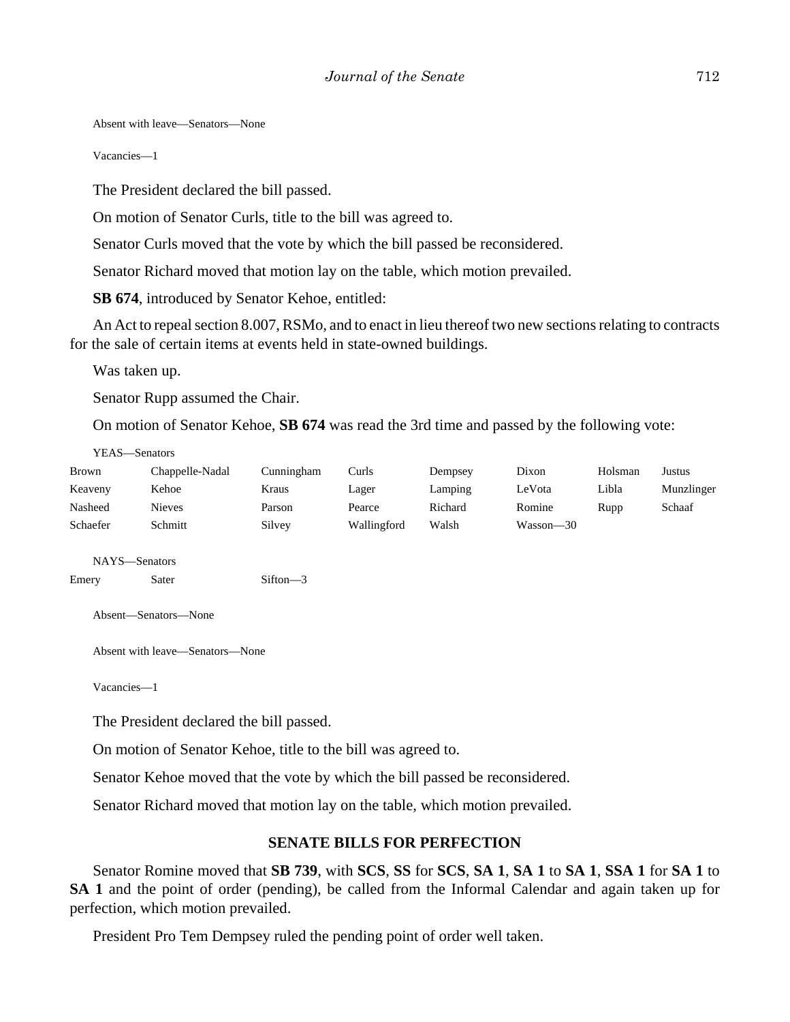Absent with leave—Senators—None

Vacancies—1

The President declared the bill passed.

On motion of Senator Curls, title to the bill was agreed to.

Senator Curls moved that the vote by which the bill passed be reconsidered.

Senator Richard moved that motion lay on the table, which motion prevailed.

**SB 674**, introduced by Senator Kehoe, entitled:

An Act to repeal section 8.007, RSMo, and to enact in lieu thereof two new sections relating to contracts for the sale of certain items at events held in state-owned buildings.

Was taken up.

Senator Rupp assumed the Chair.

On motion of Senator Kehoe, **SB 674** was read the 3rd time and passed by the following vote:

YEAS—Senators

| <b>Brown</b> | Chappelle-Nadal | Cunningham | Curls       | Dempsey | Dixon     | Holsman | Justus     |
|--------------|-----------------|------------|-------------|---------|-----------|---------|------------|
| Keaveny      | Kehoe           | Kraus      | Lager       | Lamping | LeVota    | Libla   | Munzlinger |
| Nasheed      | Nieves          | Parson     | Pearce      | Richard | Romine    | Rupp    | Schaaf     |
| Schaefer     | Schmitt         | Silvey     | Wallingford | Walsh   | Wasson-30 |         |            |

NAYS—Senators

Emery Sater Sifton—3

Absent—Senators—None

Absent with leave—Senators—None

Vacancies—1

The President declared the bill passed.

On motion of Senator Kehoe, title to the bill was agreed to.

Senator Kehoe moved that the vote by which the bill passed be reconsidered.

Senator Richard moved that motion lay on the table, which motion prevailed.

#### **SENATE BILLS FOR PERFECTION**

Senator Romine moved that **SB 739**, with **SCS**, **SS** for **SCS**, **SA 1**, **SA 1** to **SA 1**, **SSA 1** for **SA 1** to **SA 1** and the point of order (pending), be called from the Informal Calendar and again taken up for perfection, which motion prevailed.

President Pro Tem Dempsey ruled the pending point of order well taken.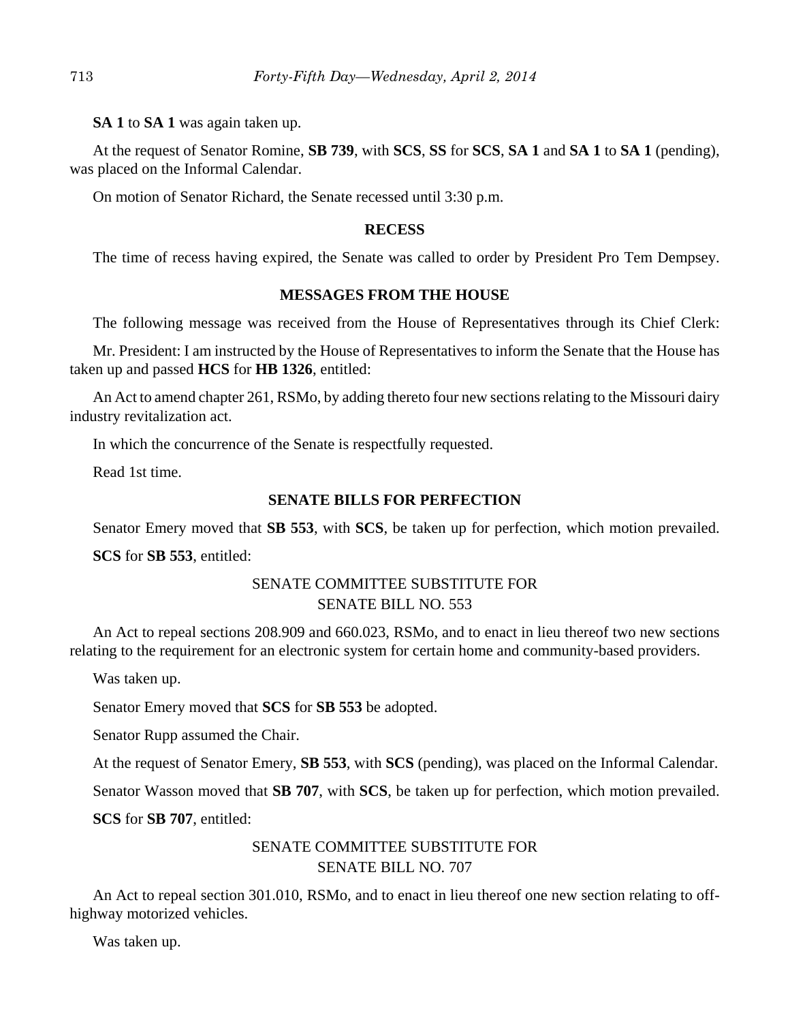**SA 1** to **SA 1** was again taken up.

At the request of Senator Romine, **SB 739**, with **SCS**, **SS** for **SCS**, **SA 1** and **SA 1** to **SA 1** (pending), was placed on the Informal Calendar.

On motion of Senator Richard, the Senate recessed until 3:30 p.m.

### **RECESS**

The time of recess having expired, the Senate was called to order by President Pro Tem Dempsey.

## **MESSAGES FROM THE HOUSE**

The following message was received from the House of Representatives through its Chief Clerk:

Mr. President: I am instructed by the House of Representatives to inform the Senate that the House has taken up and passed **HCS** for **HB 1326**, entitled:

An Act to amend chapter 261, RSMo, by adding thereto four new sections relating to the Missouri dairy industry revitalization act.

In which the concurrence of the Senate is respectfully requested.

Read 1st time.

## **SENATE BILLS FOR PERFECTION**

Senator Emery moved that **SB 553**, with **SCS**, be taken up for perfection, which motion prevailed.

**SCS** for **SB 553**, entitled:

# SENATE COMMITTEE SUBSTITUTE FOR SENATE BILL NO. 553

An Act to repeal sections 208.909 and 660.023, RSMo, and to enact in lieu thereof two new sections relating to the requirement for an electronic system for certain home and community-based providers.

Was taken up.

Senator Emery moved that **SCS** for **SB 553** be adopted.

Senator Rupp assumed the Chair.

At the request of Senator Emery, **SB 553**, with **SCS** (pending), was placed on the Informal Calendar.

Senator Wasson moved that **SB 707**, with **SCS**, be taken up for perfection, which motion prevailed.

**SCS** for **SB 707**, entitled:

# SENATE COMMITTEE SUBSTITUTE FOR SENATE BILL NO. 707

An Act to repeal section 301.010, RSMo, and to enact in lieu thereof one new section relating to offhighway motorized vehicles.

Was taken up.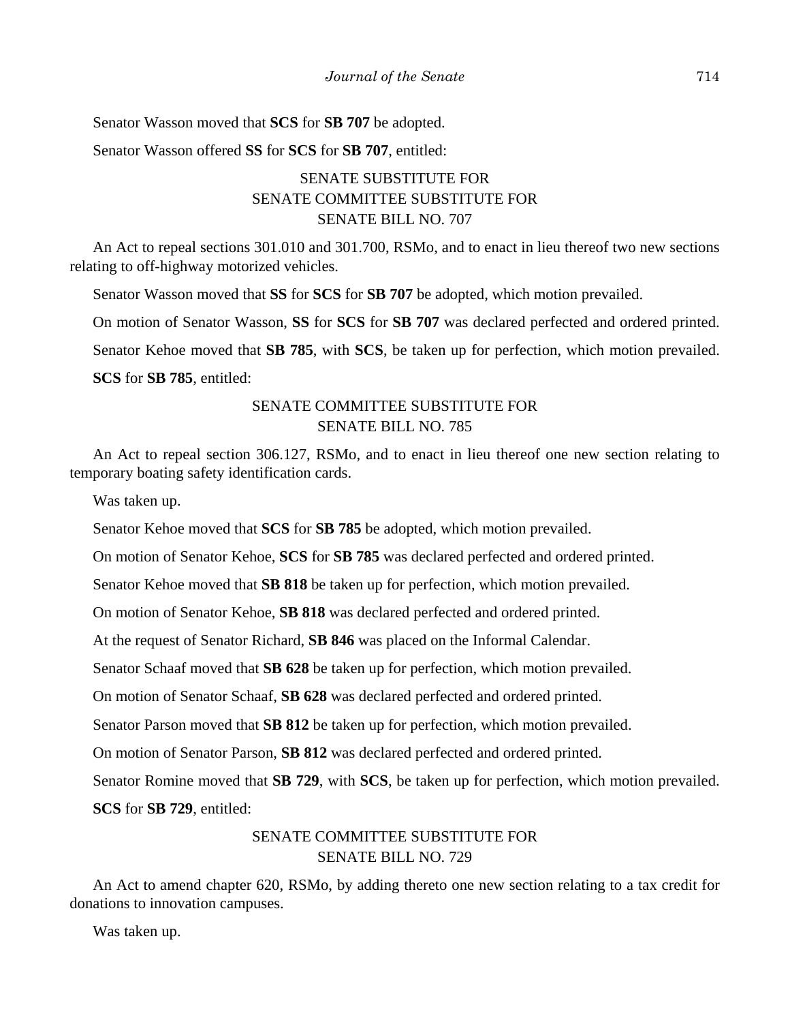Senator Wasson moved that **SCS** for **SB 707** be adopted.

Senator Wasson offered **SS** for **SCS** for **SB 707**, entitled:

# SENATE SUBSTITUTE FOR SENATE COMMITTEE SUBSTITUTE FOR SENATE BILL NO. 707

An Act to repeal sections 301.010 and 301.700, RSMo, and to enact in lieu thereof two new sections relating to off-highway motorized vehicles.

Senator Wasson moved that **SS** for **SCS** for **SB 707** be adopted, which motion prevailed.

On motion of Senator Wasson, **SS** for **SCS** for **SB 707** was declared perfected and ordered printed.

Senator Kehoe moved that **SB 785**, with **SCS**, be taken up for perfection, which motion prevailed.

**SCS** for **SB 785**, entitled:

# SENATE COMMITTEE SUBSTITUTE FOR SENATE BILL NO. 785

An Act to repeal section 306.127, RSMo, and to enact in lieu thereof one new section relating to temporary boating safety identification cards.

Was taken up.

Senator Kehoe moved that **SCS** for **SB 785** be adopted, which motion prevailed.

On motion of Senator Kehoe, **SCS** for **SB 785** was declared perfected and ordered printed.

Senator Kehoe moved that **SB 818** be taken up for perfection, which motion prevailed.

On motion of Senator Kehoe, **SB 818** was declared perfected and ordered printed.

At the request of Senator Richard, **SB 846** was placed on the Informal Calendar.

Senator Schaaf moved that **SB 628** be taken up for perfection, which motion prevailed.

On motion of Senator Schaaf, **SB 628** was declared perfected and ordered printed.

Senator Parson moved that **SB 812** be taken up for perfection, which motion prevailed.

On motion of Senator Parson, **SB 812** was declared perfected and ordered printed.

Senator Romine moved that **SB 729**, with **SCS**, be taken up for perfection, which motion prevailed.

**SCS** for **SB 729**, entitled:

## SENATE COMMITTEE SUBSTITUTE FOR SENATE BILL NO. 729

An Act to amend chapter 620, RSMo, by adding thereto one new section relating to a tax credit for donations to innovation campuses.

Was taken up.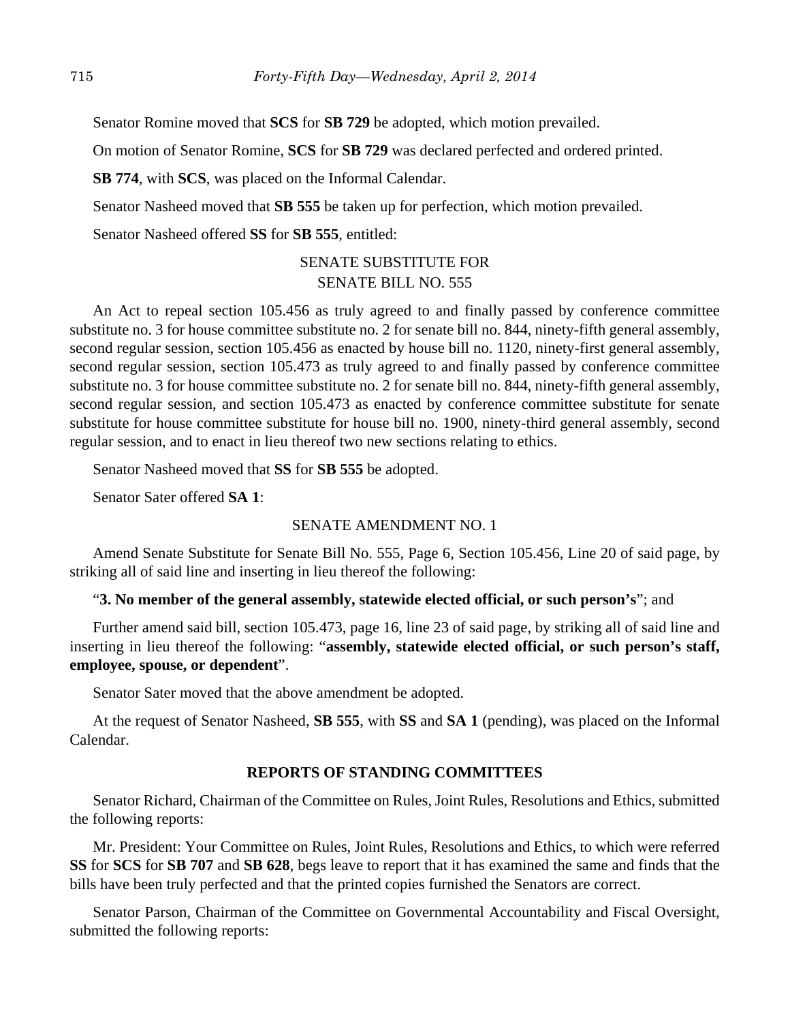Senator Romine moved that **SCS** for **SB 729** be adopted, which motion prevailed.

On motion of Senator Romine, **SCS** for **SB 729** was declared perfected and ordered printed.

**SB 774**, with **SCS**, was placed on the Informal Calendar.

Senator Nasheed moved that **SB 555** be taken up for perfection, which motion prevailed.

Senator Nasheed offered **SS** for **SB 555**, entitled:

# SENATE SUBSTITUTE FOR SENATE BILL NO. 555

An Act to repeal section 105.456 as truly agreed to and finally passed by conference committee substitute no. 3 for house committee substitute no. 2 for senate bill no. 844, ninety-fifth general assembly, second regular session, section 105.456 as enacted by house bill no. 1120, ninety-first general assembly, second regular session, section 105.473 as truly agreed to and finally passed by conference committee substitute no. 3 for house committee substitute no. 2 for senate bill no. 844, ninety-fifth general assembly, second regular session, and section 105.473 as enacted by conference committee substitute for senate substitute for house committee substitute for house bill no. 1900, ninety-third general assembly, second regular session, and to enact in lieu thereof two new sections relating to ethics.

Senator Nasheed moved that **SS** for **SB 555** be adopted.

Senator Sater offered **SA 1**:

## SENATE AMENDMENT NO. 1

Amend Senate Substitute for Senate Bill No. 555, Page 6, Section 105.456, Line 20 of said page, by striking all of said line and inserting in lieu thereof the following:

### "**3. No member of the general assembly, statewide elected official, or such person's**"; and

Further amend said bill, section 105.473, page 16, line 23 of said page, by striking all of said line and inserting in lieu thereof the following: "**assembly, statewide elected official, or such person's staff, employee, spouse, or dependent**".

Senator Sater moved that the above amendment be adopted.

At the request of Senator Nasheed, **SB 555**, with **SS** and **SA 1** (pending), was placed on the Informal Calendar.

#### **REPORTS OF STANDING COMMITTEES**

Senator Richard, Chairman of the Committee on Rules, Joint Rules, Resolutions and Ethics, submitted the following reports:

Mr. President: Your Committee on Rules, Joint Rules, Resolutions and Ethics, to which were referred **SS** for **SCS** for **SB 707** and **SB 628**, begs leave to report that it has examined the same and finds that the bills have been truly perfected and that the printed copies furnished the Senators are correct.

Senator Parson, Chairman of the Committee on Governmental Accountability and Fiscal Oversight, submitted the following reports: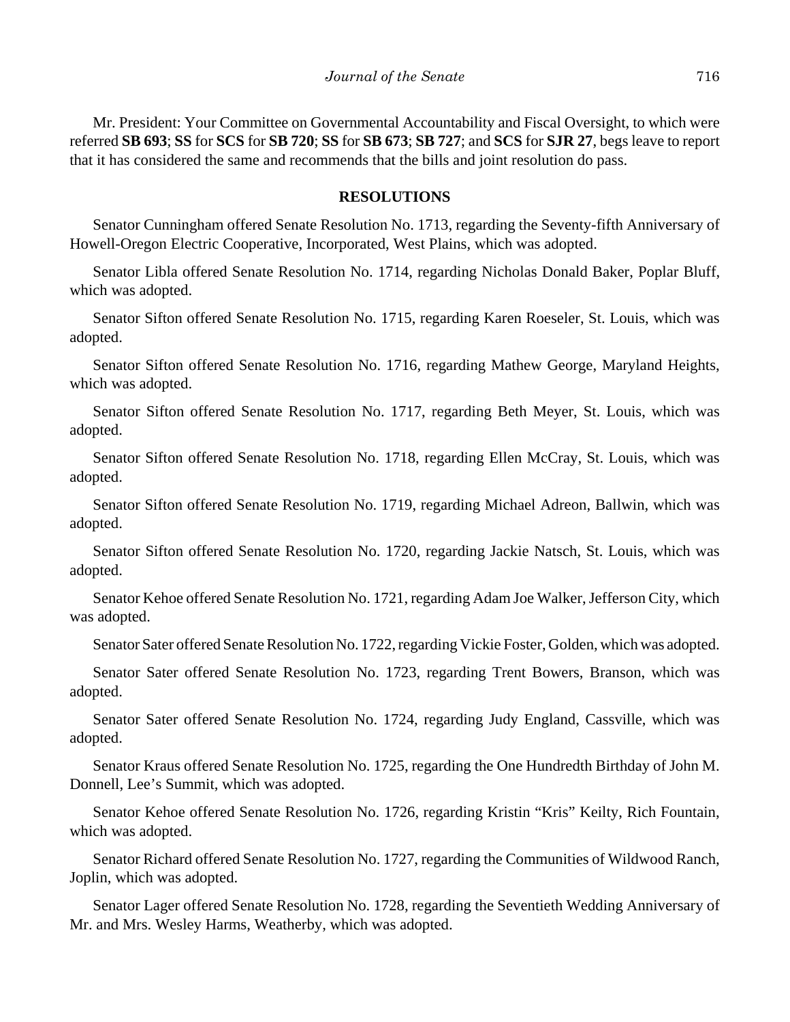Mr. President: Your Committee on Governmental Accountability and Fiscal Oversight, to which were referred **SB 693**; **SS** for **SCS** for **SB 720**; **SS** for **SB 673**; **SB 727**; and **SCS** for **SJR 27**, begs leave to report that it has considered the same and recommends that the bills and joint resolution do pass.

#### **RESOLUTIONS**

Senator Cunningham offered Senate Resolution No. 1713, regarding the Seventy-fifth Anniversary of Howell-Oregon Electric Cooperative, Incorporated, West Plains, which was adopted.

Senator Libla offered Senate Resolution No. 1714, regarding Nicholas Donald Baker, Poplar Bluff, which was adopted.

Senator Sifton offered Senate Resolution No. 1715, regarding Karen Roeseler, St. Louis, which was adopted.

Senator Sifton offered Senate Resolution No. 1716, regarding Mathew George, Maryland Heights, which was adopted.

Senator Sifton offered Senate Resolution No. 1717, regarding Beth Meyer, St. Louis, which was adopted.

Senator Sifton offered Senate Resolution No. 1718, regarding Ellen McCray, St. Louis, which was adopted.

Senator Sifton offered Senate Resolution No. 1719, regarding Michael Adreon, Ballwin, which was adopted.

Senator Sifton offered Senate Resolution No. 1720, regarding Jackie Natsch, St. Louis, which was adopted.

Senator Kehoe offered Senate Resolution No. 1721, regarding Adam Joe Walker, Jefferson City, which was adopted.

Senator Sater offered Senate Resolution No. 1722, regarding Vickie Foster, Golden, which was adopted.

Senator Sater offered Senate Resolution No. 1723, regarding Trent Bowers, Branson, which was adopted.

Senator Sater offered Senate Resolution No. 1724, regarding Judy England, Cassville, which was adopted.

Senator Kraus offered Senate Resolution No. 1725, regarding the One Hundredth Birthday of John M. Donnell, Lee's Summit, which was adopted.

Senator Kehoe offered Senate Resolution No. 1726, regarding Kristin "Kris" Keilty, Rich Fountain, which was adopted.

Senator Richard offered Senate Resolution No. 1727, regarding the Communities of Wildwood Ranch, Joplin, which was adopted.

Senator Lager offered Senate Resolution No. 1728, regarding the Seventieth Wedding Anniversary of Mr. and Mrs. Wesley Harms, Weatherby, which was adopted.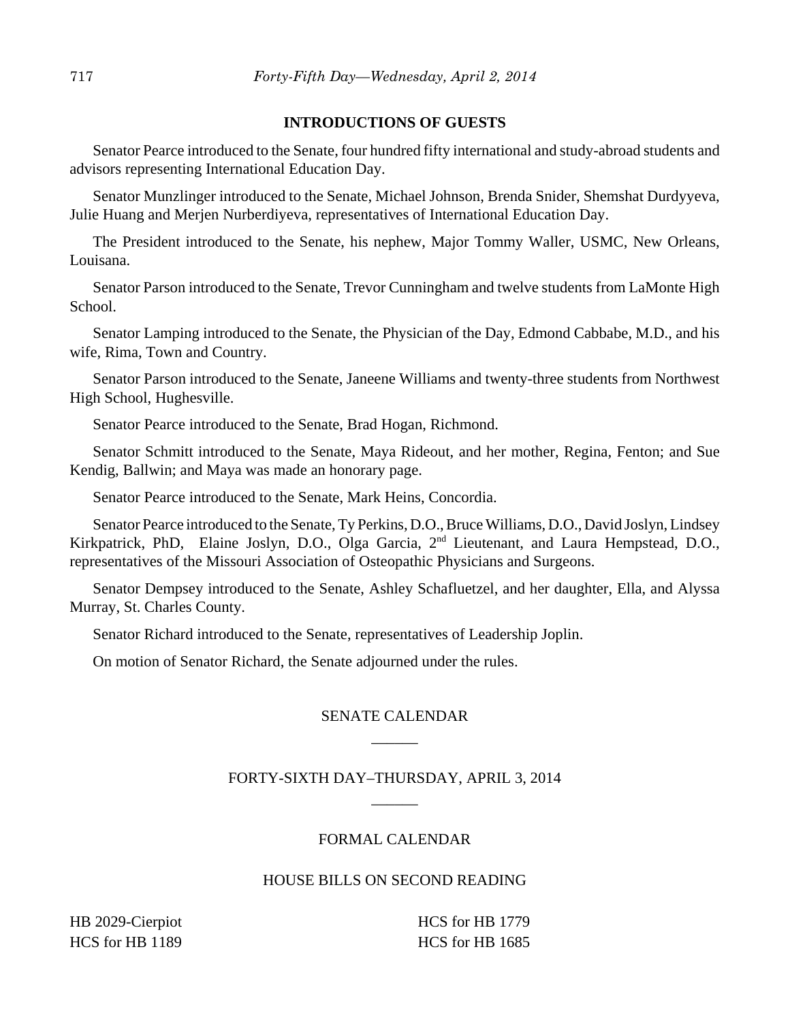## **INTRODUCTIONS OF GUESTS**

Senator Pearce introduced to the Senate, four hundred fifty international and study-abroad students and advisors representing International Education Day.

Senator Munzlinger introduced to the Senate, Michael Johnson, Brenda Snider, Shemshat Durdyyeva, Julie Huang and Merjen Nurberdiyeva, representatives of International Education Day.

The President introduced to the Senate, his nephew, Major Tommy Waller, USMC, New Orleans, Louisana.

Senator Parson introduced to the Senate, Trevor Cunningham and twelve students from LaMonte High School.

Senator Lamping introduced to the Senate, the Physician of the Day, Edmond Cabbabe, M.D., and his wife, Rima, Town and Country.

Senator Parson introduced to the Senate, Janeene Williams and twenty-three students from Northwest High School, Hughesville.

Senator Pearce introduced to the Senate, Brad Hogan, Richmond.

Senator Schmitt introduced to the Senate, Maya Rideout, and her mother, Regina, Fenton; and Sue Kendig, Ballwin; and Maya was made an honorary page.

Senator Pearce introduced to the Senate, Mark Heins, Concordia.

Senator Pearce introduced to the Senate, Ty Perkins, D.O., Bruce Williams, D.O., David Joslyn, Lindsey Kirkpatrick, PhD, Elaine Joslyn, D.O., Olga Garcia, 2<sup>nd</sup> Lieutenant, and Laura Hempstead, D.O., representatives of the Missouri Association of Osteopathic Physicians and Surgeons.

Senator Dempsey introduced to the Senate, Ashley Schafluetzel, and her daughter, Ella, and Alyssa Murray, St. Charles County.

Senator Richard introduced to the Senate, representatives of Leadership Joplin.

On motion of Senator Richard, the Senate adjourned under the rules.

# SENATE CALENDAR \_\_\_\_\_\_

# FORTY-SIXTH DAY–THURSDAY, APRIL 3, 2014  $\overline{\phantom{a}}$

## FORMAL CALENDAR

## HOUSE BILLS ON SECOND READING

HB 2029-Cierpiot HCS for HB 1189

HCS for HB 1779 HCS for HB 1685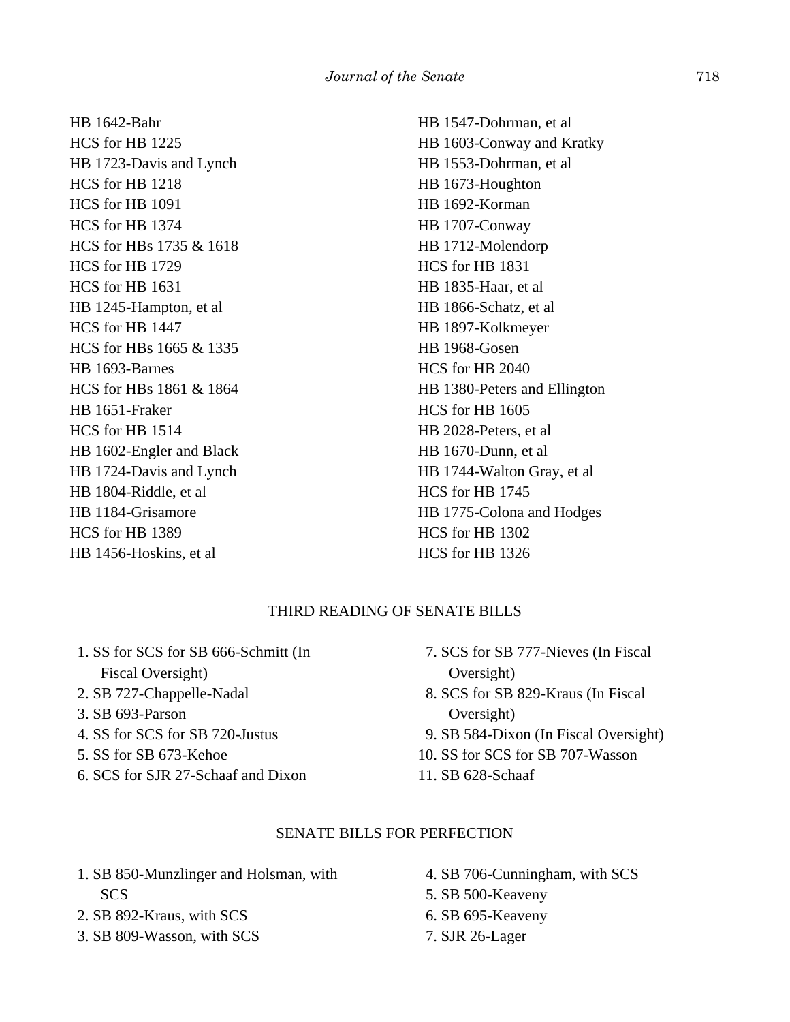HB 1642-Bahr HCS for HB 1225 HB 1723-Davis and Lynch HCS for HB 1218 HCS for HB 1091 HCS for HB 1374 HCS for HBs 1735 & 1618 HCS for HB 1729 HCS for HB 1631 HB 1245-Hampton, et al HCS for HB 1447 HCS for HBs 1665 & 1335 HB 1693-Barnes HCS for HBs 1861 & 1864 HB 1651-Fraker HCS for HB 1514 HB 1602-Engler and Black HB 1724-Davis and Lynch HB 1804-Riddle, et al HB 1184-Grisamore HCS for HB 1389 HB 1456-Hoskins, et al

HB 1547-Dohrman, et al HB 1603-Conway and Kratky HB 1553-Dohrman, et al HB 1673-Houghton HB 1692-Korman HB 1707-Conway HB 1712-Molendorp HCS for HB 1831 HB 1835-Haar, et al HB 1866-Schatz, et al HB 1897-Kolkmeyer HB 1968-Gosen HCS for HB 2040 HB 1380-Peters and Ellington HCS for HB 1605 HB 2028-Peters, et al HB 1670-Dunn, et al HB 1744-Walton Gray, et al HCS for HB 1745 HB 1775-Colona and Hodges HCS for HB 1302 HCS for HB 1326

## THIRD READING OF SENATE BILLS

 1. SS for SCS for SB 666-Schmitt (In Fiscal Oversight) 2. SB 727-Chappelle-Nadal 3. SB 693-Parson 4. SS for SCS for SB 720-Justus 5. SS for SB 673-Kehoe

6. SCS for SJR 27-Schaaf and Dixon

- 7. SCS for SB 777-Nieves (In Fiscal Oversight)
- 8. SCS for SB 829-Kraus (In Fiscal Oversight)
- 9. SB 584-Dixon (In Fiscal Oversight)
- 10. SS for SCS for SB 707-Wasson
- 11. SB 628-Schaaf

### SENATE BILLS FOR PERFECTION

- 1. SB 850-Munzlinger and Holsman, with **SCS**
- 2. SB 892-Kraus, with SCS
- 3. SB 809-Wasson, with SCS

 4. SB 706-Cunningham, with SCS 5. SB 500-Keaveny 6. SB 695-Keaveny 7. SJR 26-Lager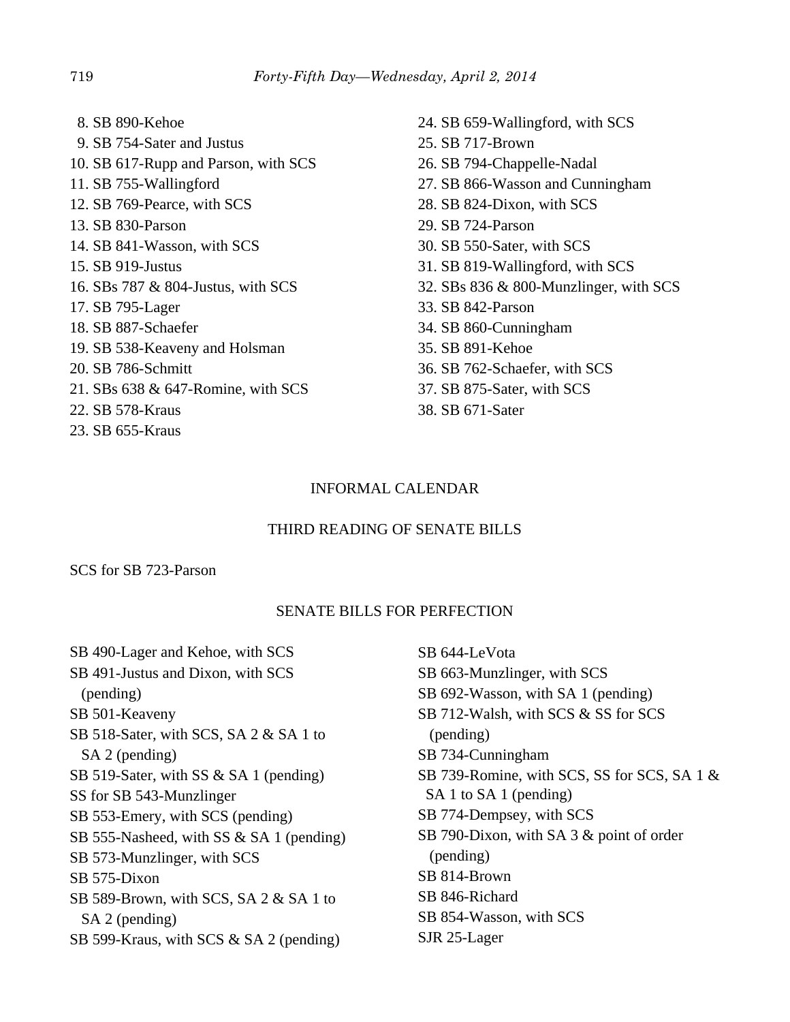8. SB 890-Kehoe 9. SB 754-Sater and Justus 10. SB 617-Rupp and Parson, with SCS 11. SB 755-Wallingford 12. SB 769-Pearce, with SCS 13. SB 830-Parson 14. SB 841-Wasson, with SCS 15. SB 919-Justus 16. SBs 787 & 804-Justus, with SCS 17. SB 795-Lager 18. SB 887-Schaefer 19. SB 538-Keaveny and Holsman 20. SB 786-Schmitt 21. SBs 638 & 647-Romine, with SCS 22. SB 578-Kraus 23. SB 655-Kraus

- 24. SB 659-Wallingford, with SCS 25. SB 717-Brown 26. SB 794-Chappelle-Nadal 27. SB 866-Wasson and Cunningham 28. SB 824-Dixon, with SCS 29. SB 724-Parson 30. SB 550-Sater, with SCS 31. SB 819-Wallingford, with SCS 32. SBs 836 & 800-Munzlinger, with SCS 33. SB 842-Parson 34. SB 860-Cunningham 35. SB 891-Kehoe 36. SB 762-Schaefer, with SCS 37. SB 875-Sater, with SCS
- 38. SB 671-Sater

## INFORMAL CALENDAR

## THIRD READING OF SENATE BILLS

SCS for SB 723-Parson

## SENATE BILLS FOR PERFECTION

SB 490-Lager and Kehoe, with SCS SB 491-Justus and Dixon, with SCS (pending) SB 501-Keaveny SB 518-Sater, with SCS, SA 2 & SA 1 to SA 2 (pending) SB 519-Sater, with SS & SA 1 (pending) SS for SB 543-Munzlinger SB 553-Emery, with SCS (pending) SB 555-Nasheed, with SS & SA 1 (pending) SB 573-Munzlinger, with SCS SB 575-Dixon SB 589-Brown, with SCS, SA 2 & SA 1 to SA 2 (pending) SB 599-Kraus, with SCS & SA 2 (pending)

SB 644-LeVota SB 663-Munzlinger, with SCS SB 692-Wasson, with SA 1 (pending) SB 712-Walsh, with SCS & SS for SCS (pending) SB 734-Cunningham SB 739-Romine, with SCS, SS for SCS, SA 1 & SA 1 to SA 1 (pending) SB 774-Dempsey, with SCS SB 790-Dixon, with SA 3 & point of order (pending) SB 814-Brown SB 846-Richard SB 854-Wasson, with SCS SJR 25-Lager